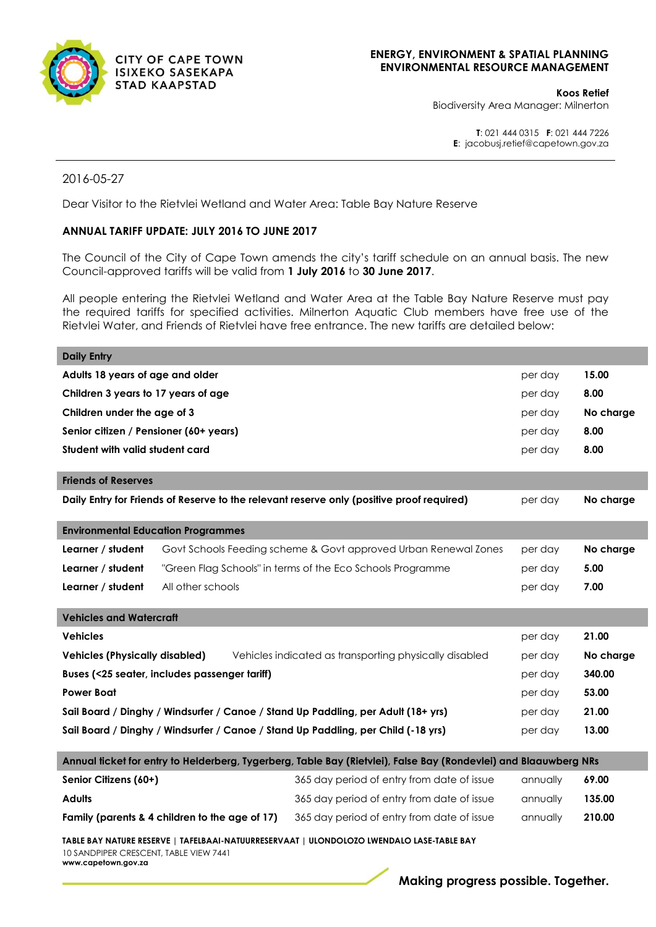

## **ENERGY, ENVIRONMENT & SPATIAL PLANNING ENVIRONMENTAL RESOURCE MANAGEMENT**

**Koos Retief**

Biodiversity Area Manager: Milnerton

**T**: 021 444 0315 **F**: 021 444 7226 **E**: jacobusj.retief@capetown.gov.za

## 2016-05-27

Dear Visitor to the Rietvlei Wetland and Water Area: Table Bay Nature Reserve

## **ANNUAL TARIFF UPDATE: JULY 2016 TO JUNE 2017**

The Council of the City of Cape Town amends the city's tariff schedule on an annual basis. The new Council-approved tariffs will be valid from **1 July 2016** to **30 June 2017**.

All people entering the Rietvlei Wetland and Water Area at the Table Bay Nature Reserve must pay the required tariffs for specified activities. Milnerton Aquatic Club members have free use of the Rietvlei Water, and Friends of Rietvlei have free entrance. The new tariffs are detailed below:

| <b>Daily Entry</b>                                                                        |                                                                 |           |           |  |  |  |  |
|-------------------------------------------------------------------------------------------|-----------------------------------------------------------------|-----------|-----------|--|--|--|--|
| Adults 18 years of age and older                                                          |                                                                 |           | 15.00     |  |  |  |  |
| Children 3 years to 17 years of age                                                       |                                                                 |           | 8.00      |  |  |  |  |
| Children under the age of 3                                                               |                                                                 |           | No charge |  |  |  |  |
| Senior citizen / Pensioner (60+ years)                                                    |                                                                 |           | 8.00      |  |  |  |  |
| Student with valid student card                                                           | per day                                                         | 8.00      |           |  |  |  |  |
| <b>Friends of Reserves</b>                                                                |                                                                 |           |           |  |  |  |  |
| Daily Entry for Friends of Reserve to the relevant reserve only (positive proof required) | per day                                                         | No charge |           |  |  |  |  |
| <b>Environmental Education Programmes</b>                                                 |                                                                 |           |           |  |  |  |  |
| Learner / student                                                                         | Govt Schools Feeding scheme & Govt approved Urban Renewal Zones | per day   | No charge |  |  |  |  |
| Learner / student                                                                         | "Green Flag Schools" in terms of the Eco Schools Programme      | per day   | 5.00      |  |  |  |  |
| Learner / student                                                                         | All other schools                                               | per day   | 7.00      |  |  |  |  |
| <b>Vehicles and Watercraft</b>                                                            |                                                                 |           |           |  |  |  |  |
| <b>Vehicles</b>                                                                           |                                                                 | per day   | 21.00     |  |  |  |  |
| <b>Vehicles (Physically disabled)</b>                                                     | Vehicles indicated as transporting physically disabled          | per day   | No charge |  |  |  |  |
| Buses (<25 seater, includes passenger tariff)                                             |                                                                 |           | 340.00    |  |  |  |  |
| <b>Power Boat</b>                                                                         |                                                                 |           | 53.00     |  |  |  |  |
| Sail Board / Dinghy / Windsurfer / Canoe / Stand Up Paddling, per Adult (18+ yrs)         |                                                                 |           | 21.00     |  |  |  |  |
| Sail Board / Dinghy / Windsurfer / Canoe / Stand Up Paddling, per Child (-18 yrs)         | per day                                                         | 13.00     |           |  |  |  |  |

| Annual ficket for entry to Helderberg, Tygerberg, Table Bay (Rietvlei), False Bay (Rondevlei) and Blaauwberg NRs |                                            |          |        |  |  |  |  |
|------------------------------------------------------------------------------------------------------------------|--------------------------------------------|----------|--------|--|--|--|--|
| Senior Citizens (60+)                                                                                            | 365 day period of entry from date of issue | annually | 69.00  |  |  |  |  |
| <b>Adults</b>                                                                                                    | 365 day period of entry from date of issue | annually | 135.00 |  |  |  |  |
| Family (parents & 4 children to the age of 17)                                                                   | 365 day period of entry from date of issue | annually | 210.00 |  |  |  |  |

**TABLE BAY NATURE RESERVE | TAFELBAAI-NATUURRESERVAAT | ULONDOLOZO LWENDALO LASE-TABLE BAY** 

10 SANDPIPER CRESCENT, TABLE VIEW 7441 **www.capetown.gov.za**